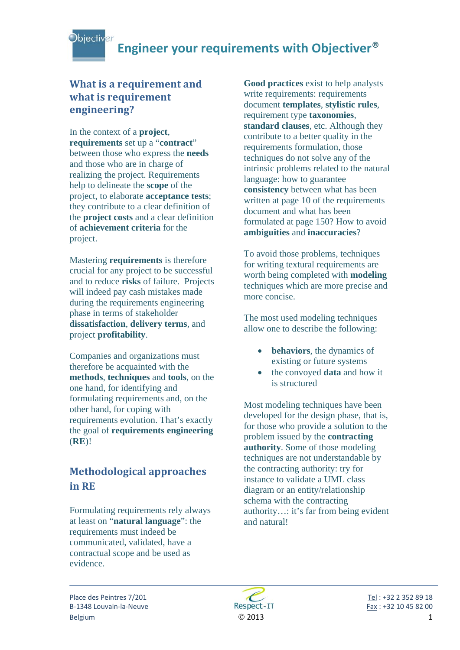### **What is a requirement and what is requirement engineering?**

In the context of a **project**, **requirements** set up a "**contract**" between those who express the **needs** and those who are in charge of realizing the project. Requirements help to delineate the **scope** of the project, to elaborate **acceptance tests**; they contribute to a clear definition of the **project costs** and a clear definition of **achievement criteria** for the project.

Mastering **requirements** is therefore crucial for any project to be successful and to reduce **risks** of failure. Projects will indeed pay cash mistakes made during the requirements engineering phase in terms of stakeholder **dissatisfaction**, **delivery terms**, and project **profitability**.

Companies and organizations must therefore be acquainted with the **methods**, **techniques** and **tools**, on the one hand, for identifying and formulating requirements and, on the other hand, for coping with requirements evolution. That's exactly the goal of **requirements engineering** (**RE**)!

### **Methodological approaches in RE**

Formulating requirements rely always at least on "**natural language**": the requirements must indeed be communicated, validated, have a contractual scope and be used as evidence.

**Good practices** exist to help analysts write requirements: requirements document **templates**, **stylistic rules**, requirement type **taxonomies**, **standard clauses**, etc. Although they contribute to a better quality in the requirements formulation, those techniques do not solve any of the intrinsic problems related to the natural language: how to guarantee **consistency** between what has been written at page 10 of the requirements document and what has been formulated at page 150? How to avoid **ambiguities** and **inaccuracies**?

To avoid those problems, techniques for writing textural requirements are worth being completed with **modeling** techniques which are more precise and more concise.

The most used modeling techniques allow one to describe the following:

- **behaviors**, the dynamics of existing or future systems
- the convoyed **data** and how it is structured

Most modeling techniques have been developed for the design phase, that is, for those who provide a solution to the problem issued by the **contracting authority**. Some of those modeling techniques are not understandable by the contracting authority: try for instance to validate a UML class diagram or an entity/relationship schema with the contracting authority…: it's far from being evident and natural!

Place des Peintres 7/201 **1999 18 1999 18 1999 18 1999 18 1999 18 1999 18 1999 18 1999 18 1999 18 1999 18 1999 18 1999 18 1999 18 1999 18 1999 18 1999 18 1999 18 1999 18 1999 18 1999 1** B-1348 Louvain-la-Neuve Respect-IT Fax : +32 10 45 82 00 Belgium 1

j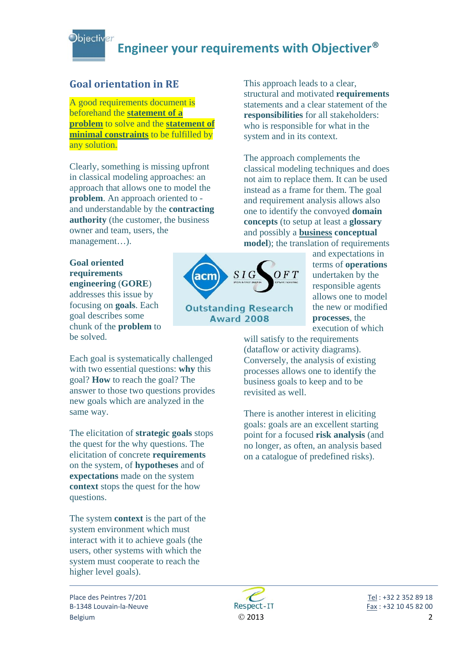### **Goal orientation in RE**

A good requirements document is beforehand the **statement of a problem** to solve and the **statement of minimal constraints** to be fulfilled by any solution.

Clearly, something is missing upfront in classical modeling approaches: an approach that allows one to model the **problem**. An approach oriented to and understandable by the **contracting authority** (the customer, the business owner and team, users, the management…).

#### **Goal oriented requirements engineering** (**GORE**)

addresses this issue by focusing on **goals**. Each goal describes some chunk of the **problem** to be solved.

Each goal is systematically challenged with two essential questions: **why** this goal? **How** to reach the goal? The answer to those two questions provides new goals which are analyzed in the same way.

The elicitation of **strategic goals** stops the quest for the why questions. The elicitation of concrete **requirements** on the system, of **hypotheses** and of **expectations** made on the system **context** stops the quest for the how questions.

The system **context** is the part of the system environment which must interact with it to achieve goals (the users, other systems with which the system must cooperate to reach the higher level goals).



**Outstanding Research Award 2008** 

This approach leads to a clear, structural and motivated **requirements** statements and a clear statement of the **responsibilities** for all stakeholders: who is responsible for what in the system and in its context.

The approach complements the classical modeling techniques and does not aim to replace them. It can be used instead as a frame for them. The goal and requirement analysis allows also one to identify the convoyed **domain concepts** (to setup at least a **glossary** and possibly a **business conceptual model**); the translation of requirements

> and expectations in terms of **operations** undertaken by the responsible agents allows one to model the new or modified **processes**, the execution of which

will satisfy to the requirements (dataflow or activity diagrams). Conversely, the analysis of existing processes allows one to identify the business goals to keep and to be revisited as well.

There is another interest in eliciting goals: goals are an excellent starting point for a focused **risk analysis** (and no longer, as often, an analysis based on a catalogue of predefined risks).



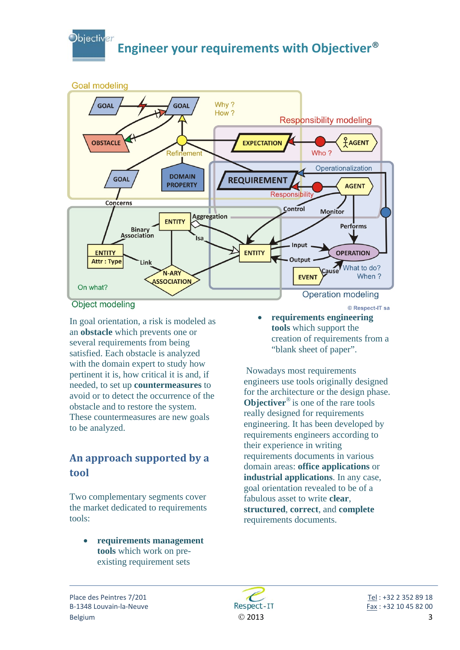

In goal orientation, a risk is modeled as an **obstacle** which prevents one or several requirements from being satisfied. Each obstacle is analyzed with the domain expert to study how pertinent it is, how critical it is and, if needed, to set up **countermeasures** to avoid or to detect the occurrence of the obstacle and to restore the system. These countermeasures are new goals to be analyzed.

### **An approach supported by a tool**

Two complementary segments cover the market dedicated to requirements tools:

> • **requirements management tools** which work on preexisting requirement sets

- © Respect-IT sa
- **requirements engineering tools** which support the creation of requirements from a "blank sheet of paper".

 Nowadays most requirements engineers use tools originally designed for the architecture or the design phase. **Objectiver**<sup>®</sup> is one of the rare tools really designed for requirements engineering. It has been developed by requirements engineers according to their experience in writing requirements documents in various domain areas: **office applications** or **industrial applications**. In any case, goal orientation revealed to be of a fabulous asset to write **clear**, **structured**, **correct**, and **complete** requirements documents.